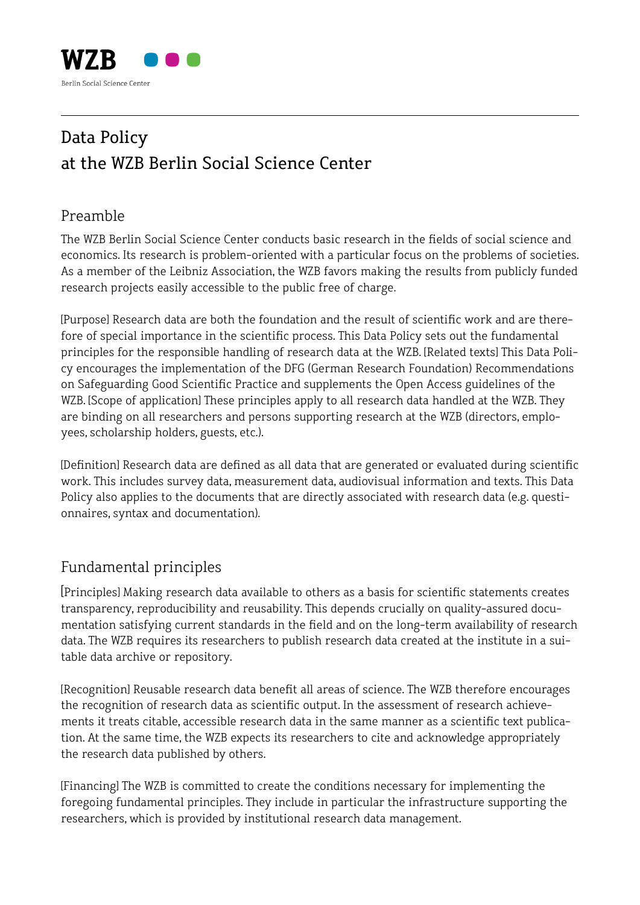

## Data Policy at the WZB Berlin Social Science Center

## Preamble

The WZB Berlin Social Science Center conducts basic research in the fields of social science and economics. Its research is problem-oriented with a particular focus on the problems of societies. As a member of the Leibniz Association, the WZB favors making the results from publicly funded research projects easily accessible to the public free of charge.

[Purpose] Research data are both the foundation and the result of scientific work and are therefore of special importance in the scientific process. This Data Policy sets out the fundamental principles for the responsible handling of research data at the WZB. [Related texts] This Data Policy encourages the implementation of the DFG (German Research Foundation) Recommendations on Safeguarding Good Scientific Practice and supplements the Open Access guidelines of the WZB. [Scope of application] These principles apply to all research data handled at the WZB. They are binding on all researchers and persons supporting research at the WZB (directors, employees, scholarship holders, guests, etc.).

[Definition] Research data are defined as all data that are generated or evaluated during scientific work. This includes survey data, measurement data, audiovisual information and texts. This Data Policy also applies to the documents that are directly associated with research data (e.g. questionnaires, syntax and documentation).

## Fundamental principles

[Principles] Making research data available to others as a basis for scientific statements creates transparency, reproducibility and reusability. This depends crucially on quality-assured documentation satisfying current standards in the field and on the long-term availability of research data. The WZB requires its researchers to publish research data created at the institute in a suitable data archive or repository.

[Recognition] Reusable research data benefit all areas of science. The WZB therefore encourages the recognition of research data as scientific output. In the assessment of research achievements it treats citable, accessible research data in the same manner as a scientific text publication. At the same time, the WZB expects its researchers to cite and acknowledge appropriately the research data published by others.

[Financing] The WZB is committed to create the conditions necessary for implementing the foregoing fundamental principles. They include in particular the infrastructure supporting the researchers, which is provided by institutional research data management.